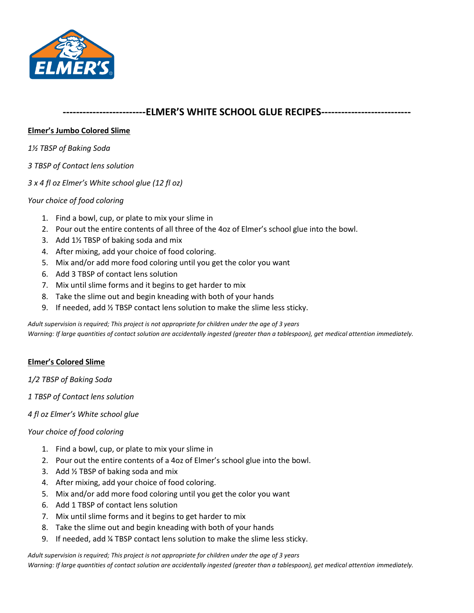

## **-------------------------ELMER'S WHITE SCHOOL GLUE RECIPES---------------------------**

## **Elmer's Jumbo Colored Slime**

*1½ TBSP of Baking Soda*

- *3 TBSP of Contact lens solution*
- *3 x 4 fl oz Elmer's White school glue (12 fl oz)*

## *Your choice of food coloring*

- 1. Find a bowl, cup, or plate to mix your slime in
- 2. Pour out the entire contents of all three of the 4oz of Elmer's school glue into the bowl.
- 3. Add 1½ TBSP of baking soda and mix
- 4. After mixing, add your choice of food coloring.
- 5. Mix and/or add more food coloring until you get the color you want
- 6. Add 3 TBSP of contact lens solution
- 7. Mix until slime forms and it begins to get harder to mix
- 8. Take the slime out and begin kneading with both of your hands
- 9. If needed, add ½ TBSP contact lens solution to make the slime less sticky.

*Adult supervision is required; This project is not appropriate for children under the age of 3 years Warning: If large quantities of contact solution are accidentally ingested (greater than a tablespoon), get medical attention immediately.*

## **Elmer's Colored Slime**

*1/2 TBSP of Baking Soda*

*1 TBSP of Contact lens solution*

*4 fl oz Elmer's White school glue*

### *Your choice of food coloring*

- 1. Find a bowl, cup, or plate to mix your slime in
- 2. Pour out the entire contents of a 4oz of Elmer's school glue into the bowl.
- 3. Add ½ TBSP of baking soda and mix
- 4. After mixing, add your choice of food coloring.
- 5. Mix and/or add more food coloring until you get the color you want
- 6. Add 1 TBSP of contact lens solution
- 7. Mix until slime forms and it begins to get harder to mix
- 8. Take the slime out and begin kneading with both of your hands
- 9. If needed, add ¼ TBSP contact lens solution to make the slime less sticky.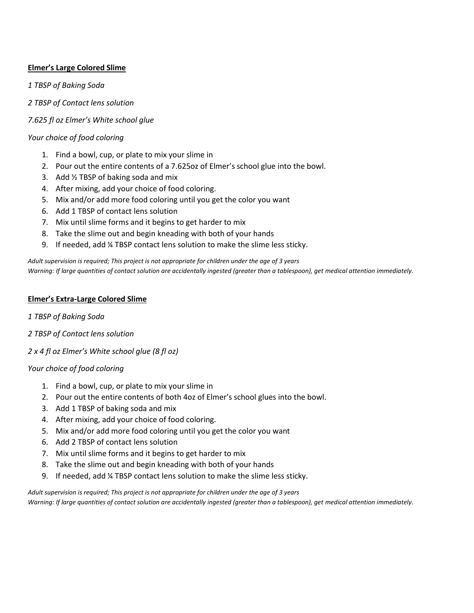## **Elmer's Large Colored Slime**

*1 TBSP of Baking Soda*

*2 TBSP of Contact lens solution*

*7.625 fl oz Elmer's White school glue*

### *Your choice of food coloring*

- 1. Find a bowl, cup, or plate to mix your slime in
- 2. Pour out the entire contents of a 7.625oz of Elmer's school glue into the bowl.
- 3. Add ½ TBSP of baking soda and mix
- 4. After mixing, add your choice of food coloring.
- 5. Mix and/or add more food coloring until you get the color you want
- 6. Add 1 TBSP of contact lens solution
- 7. Mix until slime forms and it begins to get harder to mix
- 8. Take the slime out and begin kneading with both of your hands
- 9. If needed, add ¼ TBSP contact lens solution to make the slime less sticky.

*Adult supervision is required; This project is not appropriate for children under the age of 3 years Warning: If large quantities of contact solution are accidentally ingested (greater than a tablespoon), get medical attention immediately.*

### **Elmer's Extra-Large Colored Slime**

*1 TBSP of Baking Soda*

- *2 TBSP of Contact lens solution*
- *2 x 4 fl oz Elmer's White school glue (8 fl oz)*

### *Your choice of food coloring*

- 1. Find a bowl, cup, or plate to mix your slime in
- 2. Pour out the entire contents of both 4oz of Elmer's school glues into the bowl.
- 3. Add 1 TBSP of baking soda and mix
- 4. After mixing, add your choice of food coloring.
- 5. Mix and/or add more food coloring until you get the color you want
- 6. Add 2 TBSP of contact lens solution
- 7. Mix until slime forms and it begins to get harder to mix
- 8. Take the slime out and begin kneading with both of your hands
- 9. If needed, add ¼ TBSP contact lens solution to make the slime less sticky.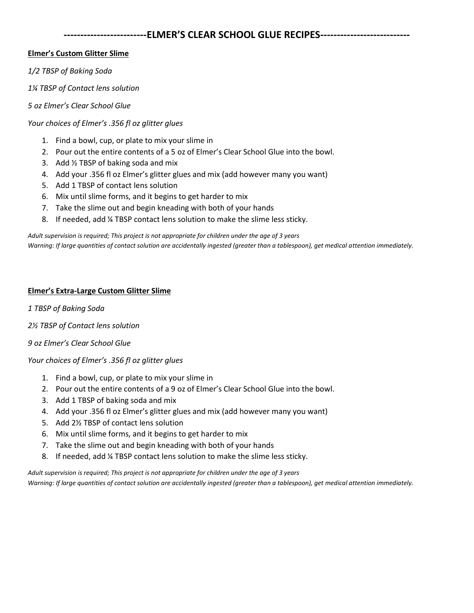# **-------------------------ELMER'S CLEAR SCHOOL GLUE RECIPES---------------------------**

## **Elmer's Custom Glitter Slime**

*1/2 TBSP of Baking Soda*

*1¼ TBSP of Contact lens solution*

### *5 oz Elmer's Clear School Glue*

*Your choices of Elmer's .356 fl oz glitter glues*

- 1. Find a bowl, cup, or plate to mix your slime in
- 2. Pour out the entire contents of a 5 oz of Elmer's Clear School Glue into the bowl.
- 3. Add ½ TBSP of baking soda and mix
- 4. Add your .356 fl oz Elmer's glitter glues and mix (add however many you want)
- 5. Add 1 TBSP of contact lens solution
- 6. Mix until slime forms, and it begins to get harder to mix
- 7. Take the slime out and begin kneading with both of your hands
- 8. If needed, add ¼ TBSP contact lens solution to make the slime less sticky.

*Adult supervision is required; This project is not appropriate for children under the age of 3 years Warning: If large quantities of contact solution are accidentally ingested (greater than a tablespoon), get medical attention immediately.*

### **Elmer's Extra-Large Custom Glitter Slime**

*1 TBSP of Baking Soda*

- *2½ TBSP of Contact lens solution*
- *9 oz Elmer's Clear School Glue*

### *Your choices of Elmer's .356 fl oz glitter glues*

- 1. Find a bowl, cup, or plate to mix your slime in
- 2. Pour out the entire contents of a 9 oz of Elmer's Clear School Glue into the bowl.
- 3. Add 1 TBSP of baking soda and mix
- 4. Add your .356 fl oz Elmer's glitter glues and mix (add however many you want)
- 5. Add 2½ TBSP of contact lens solution
- 6. Mix until slime forms, and it begins to get harder to mix
- 7. Take the slime out and begin kneading with both of your hands
- 8. If needed, add ¼ TBSP contact lens solution to make the slime less sticky.